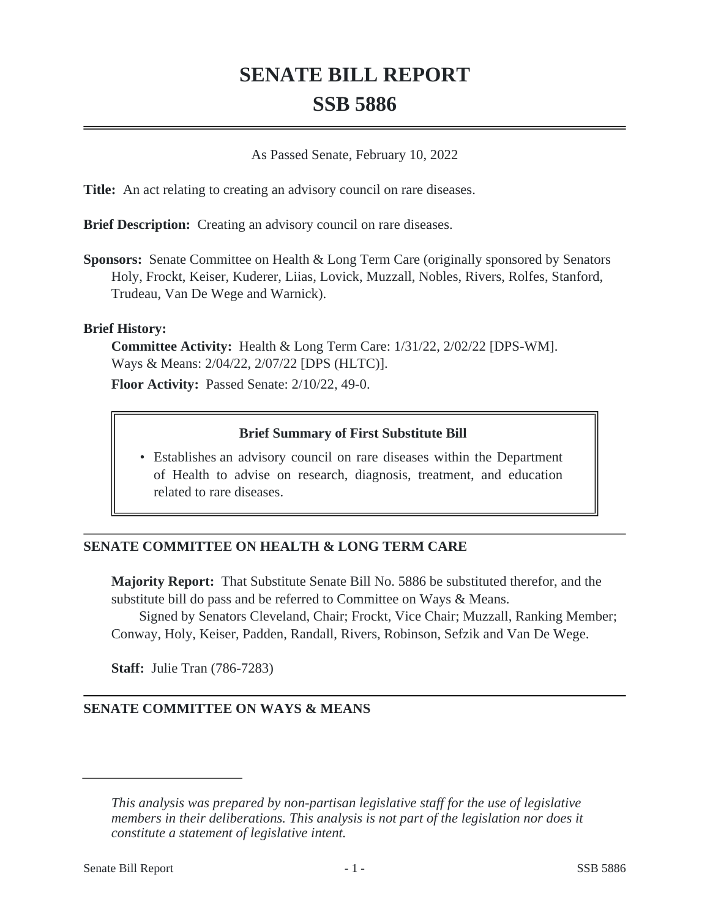# **SENATE BILL REPORT SSB 5886**

As Passed Senate, February 10, 2022

**Title:** An act relating to creating an advisory council on rare diseases.

**Brief Description:** Creating an advisory council on rare diseases.

**Sponsors:** Senate Committee on Health & Long Term Care (originally sponsored by Senators Holy, Frockt, Keiser, Kuderer, Liias, Lovick, Muzzall, Nobles, Rivers, Rolfes, Stanford, Trudeau, Van De Wege and Warnick).

### **Brief History:**

**Committee Activity:** Health & Long Term Care: 1/31/22, 2/02/22 [DPS-WM]. Ways & Means: 2/04/22, 2/07/22 [DPS (HLTC)].

**Floor Activity:** Passed Senate: 2/10/22, 49-0.

### **Brief Summary of First Substitute Bill**

Establishes an advisory council on rare diseases within the Department • of Health to advise on research, diagnosis, treatment, and education related to rare diseases.

## **SENATE COMMITTEE ON HEALTH & LONG TERM CARE**

**Majority Report:** That Substitute Senate Bill No. 5886 be substituted therefor, and the substitute bill do pass and be referred to Committee on Ways & Means.

Signed by Senators Cleveland, Chair; Frockt, Vice Chair; Muzzall, Ranking Member; Conway, Holy, Keiser, Padden, Randall, Rivers, Robinson, Sefzik and Van De Wege.

**Staff:** Julie Tran (786-7283)

### **SENATE COMMITTEE ON WAYS & MEANS**

*This analysis was prepared by non-partisan legislative staff for the use of legislative members in their deliberations. This analysis is not part of the legislation nor does it constitute a statement of legislative intent.*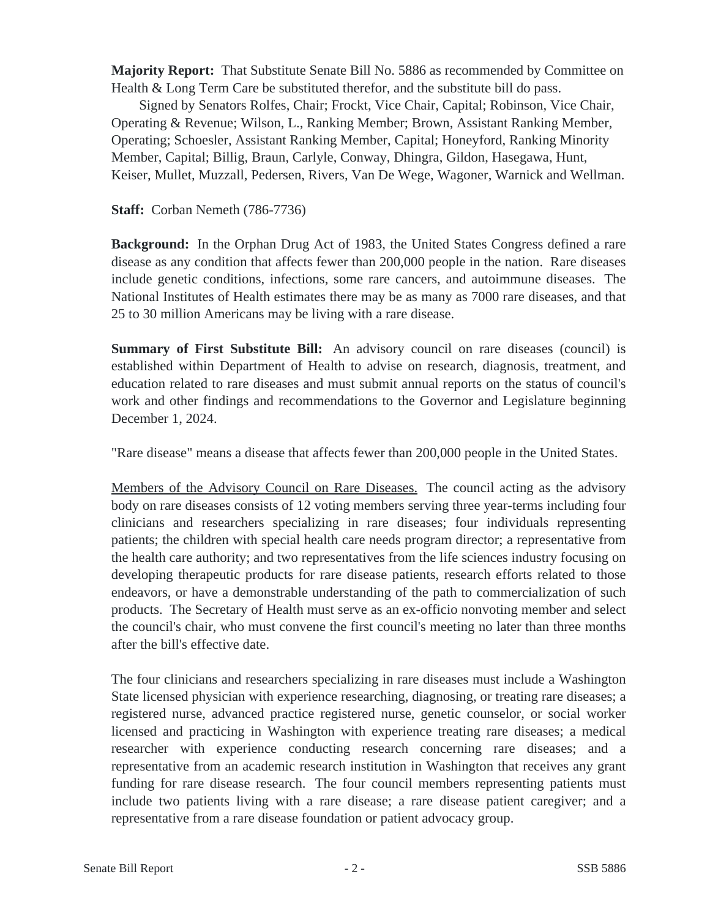**Majority Report:** That Substitute Senate Bill No. 5886 as recommended by Committee on Health & Long Term Care be substituted therefor, and the substitute bill do pass.

Signed by Senators Rolfes, Chair; Frockt, Vice Chair, Capital; Robinson, Vice Chair, Operating & Revenue; Wilson, L., Ranking Member; Brown, Assistant Ranking Member, Operating; Schoesler, Assistant Ranking Member, Capital; Honeyford, Ranking Minority Member, Capital; Billig, Braun, Carlyle, Conway, Dhingra, Gildon, Hasegawa, Hunt, Keiser, Mullet, Muzzall, Pedersen, Rivers, Van De Wege, Wagoner, Warnick and Wellman.

**Staff:** Corban Nemeth (786-7736)

**Background:** In the Orphan Drug Act of 1983, the United States Congress defined a rare disease as any condition that affects fewer than 200,000 people in the nation. Rare diseases include genetic conditions, infections, some rare cancers, and autoimmune diseases. The National Institutes of Health estimates there may be as many as 7000 rare diseases, and that 25 to 30 million Americans may be living with a rare disease.

**Summary of First Substitute Bill:** An advisory council on rare diseases (council) is established within Department of Health to advise on research, diagnosis, treatment, and education related to rare diseases and must submit annual reports on the status of council's work and other findings and recommendations to the Governor and Legislature beginning December 1, 2024.

"Rare disease" means a disease that affects fewer than 200,000 people in the United States.

Members of the Advisory Council on Rare Diseases. The council acting as the advisory body on rare diseases consists of 12 voting members serving three year-terms including four clinicians and researchers specializing in rare diseases; four individuals representing patients; the children with special health care needs program director; a representative from the health care authority; and two representatives from the life sciences industry focusing on developing therapeutic products for rare disease patients, research efforts related to those endeavors, or have a demonstrable understanding of the path to commercialization of such products. The Secretary of Health must serve as an ex-officio nonvoting member and select the council's chair, who must convene the first council's meeting no later than three months after the bill's effective date.

The four clinicians and researchers specializing in rare diseases must include a Washington State licensed physician with experience researching, diagnosing, or treating rare diseases; a registered nurse, advanced practice registered nurse, genetic counselor, or social worker licensed and practicing in Washington with experience treating rare diseases; a medical researcher with experience conducting research concerning rare diseases; and a representative from an academic research institution in Washington that receives any grant funding for rare disease research. The four council members representing patients must include two patients living with a rare disease; a rare disease patient caregiver; and a representative from a rare disease foundation or patient advocacy group.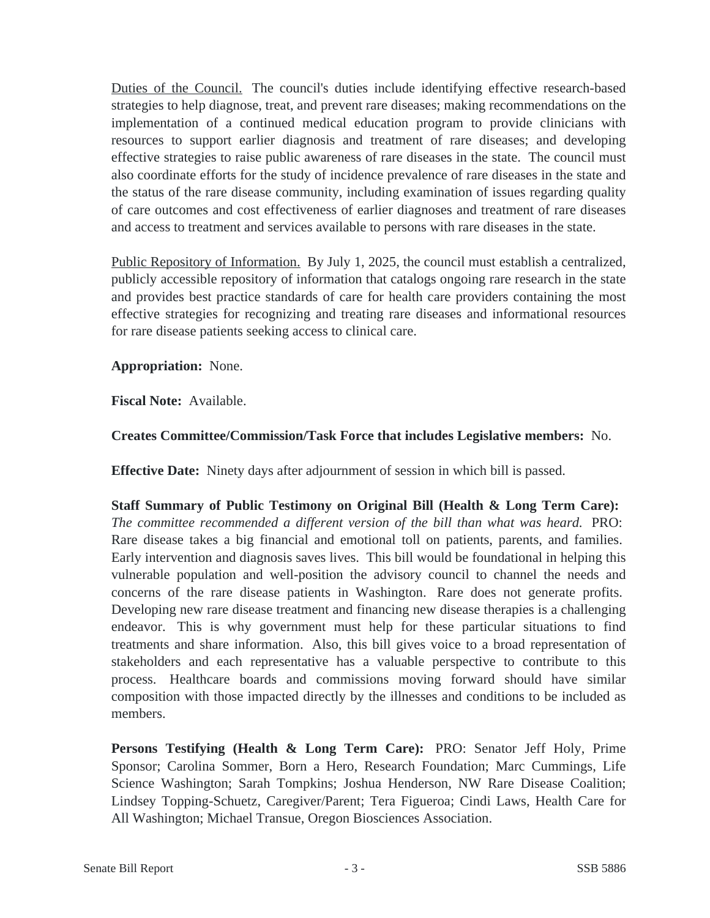Duties of the Council. The council's duties include identifying effective research-based strategies to help diagnose, treat, and prevent rare diseases; making recommendations on the implementation of a continued medical education program to provide clinicians with resources to support earlier diagnosis and treatment of rare diseases; and developing effective strategies to raise public awareness of rare diseases in the state. The council must also coordinate efforts for the study of incidence prevalence of rare diseases in the state and the status of the rare disease community, including examination of issues regarding quality of care outcomes and cost effectiveness of earlier diagnoses and treatment of rare diseases and access to treatment and services available to persons with rare diseases in the state.

Public Repository of Information. By July 1, 2025, the council must establish a centralized, publicly accessible repository of information that catalogs ongoing rare research in the state and provides best practice standards of care for health care providers containing the most effective strategies for recognizing and treating rare diseases and informational resources for rare disease patients seeking access to clinical care.

**Appropriation:** None.

**Fiscal Note:** Available.

**Creates Committee/Commission/Task Force that includes Legislative members:** No.

**Effective Date:** Ninety days after adjournment of session in which bill is passed.

**Staff Summary of Public Testimony on Original Bill (Health & Long Term Care):**  *The committee recommended a different version of the bill than what was heard.* PRO: Rare disease takes a big financial and emotional toll on patients, parents, and families. Early intervention and diagnosis saves lives. This bill would be foundational in helping this vulnerable population and well-position the advisory council to channel the needs and concerns of the rare disease patients in Washington. Rare does not generate profits. Developing new rare disease treatment and financing new disease therapies is a challenging endeavor. This is why government must help for these particular situations to find treatments and share information. Also, this bill gives voice to a broad representation of stakeholders and each representative has a valuable perspective to contribute to this process. Healthcare boards and commissions moving forward should have similar composition with those impacted directly by the illnesses and conditions to be included as members.

**Persons Testifying (Health & Long Term Care):** PRO: Senator Jeff Holy, Prime Sponsor; Carolina Sommer, Born a Hero, Research Foundation; Marc Cummings, Life Science Washington; Sarah Tompkins; Joshua Henderson, NW Rare Disease Coalition; Lindsey Topping-Schuetz, Caregiver/Parent; Tera Figueroa; Cindi Laws, Health Care for All Washington; Michael Transue, Oregon Biosciences Association.